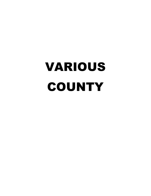# VARIOUS COUNTY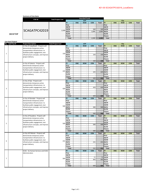#### **Summary of Line Items**

**2021FTIP**

| <b>FTIP ID</b> | <b>Total Project Cost</b> |               |            | <b>Awarded Funds</b> |                          |             |                 |                          |                          |                                                                                                                                                           |  |  |  |  |  |  |
|----------------|---------------------------|---------------|------------|----------------------|--------------------------|-------------|-----------------|--------------------------|--------------------------|-----------------------------------------------------------------------------------------------------------------------------------------------------------|--|--|--|--|--|--|
|                |                           |               |            | <b>ATP</b>           |                          |             | City            |                          |                          |                                                                                                                                                           |  |  |  |  |  |  |
|                |                           | <b>FV</b>     | <b>ENG</b> | <b>ROW</b>           | <b>CON</b>               | Total       | lFY             | <b>ENG</b>               | <b>ROW</b>               | Total<br><b>CON</b><br>$\overline{\phantom{0}}$<br>$\sim$<br>$\sim$<br>-<br>$\sim$<br>$\overline{\phantom{a}}$<br>$\overline{\phantom{0}}$<br>$\sim$<br>- |  |  |  |  |  |  |
|                |                           | Prior         | $\sim$     |                      | $\overline{\phantom{0}}$ |             | - <b>IPrior</b> | $\overline{\phantom{0}}$ | $\overline{\phantom{a}}$ |                                                                                                                                                           |  |  |  |  |  |  |
|                |                           | 18/19         | $\sim$     |                      |                          |             | $-$ 18/19       | $\overline{\phantom{a}}$ | $\sim$                   |                                                                                                                                                           |  |  |  |  |  |  |
|                |                           | 19/20         | $\sim$     |                      | 500                      |             | 500 19/20       | $\overline{\phantom{0}}$ | $\sim$                   |                                                                                                                                                           |  |  |  |  |  |  |
| SCAGATPC42019  | 2,599                     | 20/21         | $\sim$     |                      | 2,099                    | 2,099 20/21 |                 | $\overline{\phantom{0}}$ | $\overline{\phantom{a}}$ |                                                                                                                                                           |  |  |  |  |  |  |
|                |                           | 21/22         | $\sim$     |                      |                          |             | $-21/22$        | $\overline{\phantom{0}}$ | $\sim$                   |                                                                                                                                                           |  |  |  |  |  |  |
|                |                           | <b>Future</b> | $\sim$     |                      |                          | $\sim$      | <b>IFuture</b>  |                          | $\overline{\phantom{a}}$ |                                                                                                                                                           |  |  |  |  |  |  |
|                |                           | <b>Total</b>  | $\sim$     |                      | 2,599                    | 2.599       | <b>Total</b>    | $\overline{\phantom{0}}$ | $\overline{\phantom{0}}$ |                                                                                                                                                           |  |  |  |  |  |  |

|                               | <b>Line Item Projects</b><br>No. Sub Proj ID<br><b>Project Description</b><br><b>Total Project Cost</b><br><b>ATP</b><br>City |                                       |     |                                                                                                                                 |                                            |                          |                                                                                                                                                                                                                                                                                                                                                                                                                                                                                                                                                                                                                                                                                                                                                                                                                                                                                                                                                                                                                                      |                                 |                               |                                                      |                                                                                                                                                                                                                                                                                                                                                                                                                                                                                                                                                                                                                                                                                                                        |                |                             |  |
|-------------------------------|-------------------------------------------------------------------------------------------------------------------------------|---------------------------------------|-----|---------------------------------------------------------------------------------------------------------------------------------|--------------------------------------------|--------------------------|--------------------------------------------------------------------------------------------------------------------------------------------------------------------------------------------------------------------------------------------------------------------------------------------------------------------------------------------------------------------------------------------------------------------------------------------------------------------------------------------------------------------------------------------------------------------------------------------------------------------------------------------------------------------------------------------------------------------------------------------------------------------------------------------------------------------------------------------------------------------------------------------------------------------------------------------------------------------------------------------------------------------------------------|---------------------------------|-------------------------------|------------------------------------------------------|------------------------------------------------------------------------------------------------------------------------------------------------------------------------------------------------------------------------------------------------------------------------------------------------------------------------------------------------------------------------------------------------------------------------------------------------------------------------------------------------------------------------------------------------------------------------------------------------------------------------------------------------------------------------------------------------------------------------|----------------|-----------------------------|--|
|                               |                                                                                                                               |                                       |     |                                                                                                                                 |                                            |                          |                                                                                                                                                                                                                                                                                                                                                                                                                                                                                                                                                                                                                                                                                                                                                                                                                                                                                                                                                                                                                                      |                                 |                               |                                                      |                                                                                                                                                                                                                                                                                                                                                                                                                                                                                                                                                                                                                                                                                                                        |                |                             |  |
|                               |                                                                                                                               | In City of Long Beach - Projects will |     | <b>FY</b>                                                                                                                       | <b>ENG</b>                                 | <b>ROW</b>               | <b>CON</b>                                                                                                                                                                                                                                                                                                                                                                                                                                                                                                                                                                                                                                                                                                                                                                                                                                                                                                                                                                                                                           | <b>Total</b>                    | FY.                           | <b>ENG</b>                                           | <b>ROW</b>                                                                                                                                                                                                                                                                                                                                                                                                                                                                                                                                                                                                                                                                                                             | <b>CON</b>     | Total                       |  |
|                               |                                                                                                                               | demonstrate temporary active          |     | Prior                                                                                                                           |                                            | $\overline{a}$           |                                                                                                                                                                                                                                                                                                                                                                                                                                                                                                                                                                                                                                                                                                                                                                                                                                                                                                                                                                                                                                      |                                 | Prior                         | $\overline{\phantom{a}}$                             |                                                                                                                                                                                                                                                                                                                                                                                                                                                                                                                                                                                                                                                                                                                        |                |                             |  |
|                               |                                                                                                                               | transportation infrastructure to      |     | 18/19                                                                                                                           | ÷,                                         | $\mathbb{Z}^2$           |                                                                                                                                                                                                                                                                                                                                                                                                                                                                                                                                                                                                                                                                                                                                                                                                                                                                                                                                                                                                                                      | $\mathbb{Z}^2$                  | 18/19                         | $\overline{a}$                                       | $\overline{\phantom{a}}$                                                                                                                                                                                                                                                                                                                                                                                                                                                                                                                                                                                                                                                                                               |                | $\sim$                      |  |
|                               |                                                                                                                               | facilitate public engagement, test    | 150 | 19/20                                                                                                                           | $\omega$                                   | $\omega$                 |                                                                                                                                                                                                                                                                                                                                                                                                                                                                                                                                                                                                                                                                                                                                                                                                                                                                                                                                                                                                                                      | $\mathbb{Z}^2$                  | 19/20                         | $\Box$                                               | $\overline{a}$                                                                                                                                                                                                                                                                                                                                                                                                                                                                                                                                                                                                                                                                                                         |                | $\omega$                    |  |
|                               |                                                                                                                               | infrastructure concepts, and improve  |     | 20/21                                                                                                                           | $\omega$                                   | $\omega$                 | 150                                                                                                                                                                                                                                                                                                                                                                                                                                                                                                                                                                                                                                                                                                                                                                                                                                                                                                                                                                                                                                  |                                 | 150 20/21                     | $\Box$                                               | $\overline{\phantom{a}}$                                                                                                                                                                                                                                                                                                                                                                                                                                                                                                                                                                                                                                                                                               | $\overline{a}$ | $\sim$                      |  |
| $\overline{2}$<br>3<br>4<br>5 |                                                                                                                               | project delivery.                     |     | 21/22                                                                                                                           | $\overline{a}$                             | $\Box$                   |                                                                                                                                                                                                                                                                                                                                                                                                                                                                                                                                                                                                                                                                                                                                                                                                                                                                                                                                                                                                                                      | $\overline{\phantom{a}}$        | 21/22                         | $\overline{\phantom{a}}$                             | $\overline{a}$                                                                                                                                                                                                                                                                                                                                                                                                                                                                                                                                                                                                                                                                                                         |                | $\sim$                      |  |
|                               | $\mathbf{1}$<br>6<br>$\overline{7}$                                                                                           |                                       |     | <b>Future</b>                                                                                                                   | $\blacksquare$                             | $\blacksquare$           | $\blacksquare$                                                                                                                                                                                                                                                                                                                                                                                                                                                                                                                                                                                                                                                                                                                                                                                                                                                                                                                                                                                                                       | $\sim$                          | Future                        | $\sim$                                               | $\blacksquare$                                                                                                                                                                                                                                                                                                                                                                                                                                                                                                                                                                                                                                                                                                         | $\sim$         | $\sim$                      |  |
|                               |                                                                                                                               |                                       |     | <b>Total</b>                                                                                                                    | $\sim$                                     | Ξ                        | 150                                                                                                                                                                                                                                                                                                                                                                                                                                                                                                                                                                                                                                                                                                                                                                                                                                                                                                                                                                                                                                  | 150                             | <b>Total</b>                  | $\overline{a}$                                       |                                                                                                                                                                                                                                                                                                                                                                                                                                                                                                                                                                                                                                                                                                                        |                | $\overline{\phantom{a}}$    |  |
|                               |                                                                                                                               | In City of Calexico - Projects will   |     | <b>FY</b>                                                                                                                       | <b>ENG</b>                                 | <b>ROW</b>               | <b>CON</b>                                                                                                                                                                                                                                                                                                                                                                                                                                                                                                                                                                                                                                                                                                                                                                                                                                                                                                                                                                                                                           | <b>Total</b>                    | <b>FY</b>                     | <b>ENG</b>                                           | <b>ROW</b>                                                                                                                                                                                                                                                                                                                                                                                                                                                                                                                                                                                                                                                                                                             | <b>CON</b>     | Total                       |  |
|                               |                                                                                                                               | demonstrate temporary active          |     | Prior                                                                                                                           |                                            | $\sim$                   | $\sim$                                                                                                                                                                                                                                                                                                                                                                                                                                                                                                                                                                                                                                                                                                                                                                                                                                                                                                                                                                                                                               | $\overline{\phantom{a}}$        | Prior                         | $\sim$                                               | $\sim$                                                                                                                                                                                                                                                                                                                                                                                                                                                                                                                                                                                                                                                                                                                 |                | $\sim$                      |  |
|                               |                                                                                                                               | transportation infrastructure to      |     | 18/19                                                                                                                           | $\overline{a}$                             | $\omega$                 |                                                                                                                                                                                                                                                                                                                                                                                                                                                                                                                                                                                                                                                                                                                                                                                                                                                                                                                                                                                                                                      | $\mathbb{Z}^2$                  | 18/19                         | $\overline{\phantom{a}}$                             | $\overline{a}$                                                                                                                                                                                                                                                                                                                                                                                                                                                                                                                                                                                                                                                                                                         |                | $\mathcal{L}^{\mathcal{A}}$ |  |
|                               |                                                                                                                               | facilitate public engagement, test    | 225 | 19/20                                                                                                                           | $\sim$                                     | $\omega$                 |                                                                                                                                                                                                                                                                                                                                                                                                                                                                                                                                                                                                                                                                                                                                                                                                                                                                                                                                                                                                                                      | $\mathcal{L}_{\mathcal{A}}$     | 19/20                         | $\Box$                                               | $\bar{\phantom{a}}$                                                                                                                                                                                                                                                                                                                                                                                                                                                                                                                                                                                                                                                                                                    | $\sim$         | $\sim$                      |  |
|                               |                                                                                                                               | infrastructure concepts, and improve  |     | 20/21                                                                                                                           | $\overline{a}$                             | $\Box$                   | 225                                                                                                                                                                                                                                                                                                                                                                                                                                                                                                                                                                                                                                                                                                                                                                                                                                                                                                                                                                                                                                  | 225                             | 20/21                         | $\overline{\phantom{a}}$                             | $\overline{a}$                                                                                                                                                                                                                                                                                                                                                                                                                                                                                                                                                                                                                                                                                                         | L,             | $\mathbb{Z}^2$              |  |
|                               |                                                                                                                               | project delivery.                     |     | 21/22                                                                                                                           | $\blacksquare$                             | $\blacksquare$           | $\overline{\phantom{a}}$                                                                                                                                                                                                                                                                                                                                                                                                                                                                                                                                                                                                                                                                                                                                                                                                                                                                                                                                                                                                             | $\sim$                          | 21/22                         | $\sim$                                               | $\blacksquare$                                                                                                                                                                                                                                                                                                                                                                                                                                                                                                                                                                                                                                                                                                         | $\sim$         | $\sim$                      |  |
|                               |                                                                                                                               |                                       |     | <b>Future</b><br><b>Total</b>                                                                                                   | $\blacksquare$<br>$\overline{\phantom{a}}$ | $\blacksquare$<br>Ξ      | $\overline{\phantom{a}}$<br>225                                                                                                                                                                                                                                                                                                                                                                                                                                                                                                                                                                                                                                                                                                                                                                                                                                                                                                                                                                                                      | $\blacksquare$<br>225           | Future<br><b>Total</b>        | $\overline{\phantom{a}}$<br>$\overline{\phantom{a}}$ | $\overline{\phantom{a}}$<br>Ξ                                                                                                                                                                                                                                                                                                                                                                                                                                                                                                                                                                                                                                                                                          | $\sim$         | $\sim$<br>÷                 |  |
|                               |                                                                                                                               |                                       |     |                                                                                                                                 |                                            |                          |                                                                                                                                                                                                                                                                                                                                                                                                                                                                                                                                                                                                                                                                                                                                                                                                                                                                                                                                                                                                                                      |                                 |                               |                                                      |                                                                                                                                                                                                                                                                                                                                                                                                                                                                                                                                                                                                                                                                                                                        |                |                             |  |
|                               |                                                                                                                               | In City of Ojai - Projects will       |     | <b>FY</b>                                                                                                                       | <b>ENG</b>                                 | <b>ROW</b>               | <b>CON</b>                                                                                                                                                                                                                                                                                                                                                                                                                                                                                                                                                                                                                                                                                                                                                                                                                                                                                                                                                                                                                           | Total                           | FY.                           | <b>ENG</b>                                           |                                                                                                                                                                                                                                                                                                                                                                                                                                                                                                                                                                                                                                                                                                                        |                |                             |  |
|                               |                                                                                                                               | demonstrate temporary active          |     | Prior                                                                                                                           |                                            | $\blacksquare$           | $\blacksquare$                                                                                                                                                                                                                                                                                                                                                                                                                                                                                                                                                                                                                                                                                                                                                                                                                                                                                                                                                                                                                       | $\overline{\phantom{a}}$        | Prior                         |                                                      |                                                                                                                                                                                                                                                                                                                                                                                                                                                                                                                                                                                                                                                                                                                        |                |                             |  |
|                               |                                                                                                                               | transportation infrastructure to      |     | 18/19                                                                                                                           | $\sim$                                     | $\blacksquare$           |                                                                                                                                                                                                                                                                                                                                                                                                                                                                                                                                                                                                                                                                                                                                                                                                                                                                                                                                                                                                                                      | $\sim$                          | 18/19                         | $\sim$                                               |                                                                                                                                                                                                                                                                                                                                                                                                                                                                                                                                                                                                                                                                                                                        |                |                             |  |
|                               |                                                                                                                               | facilitate public engagement, test    | 429 | 19/20                                                                                                                           | $\Box$                                     | $\overline{\phantom{a}}$ | 429                                                                                                                                                                                                                                                                                                                                                                                                                                                                                                                                                                                                                                                                                                                                                                                                                                                                                                                                                                                                                                  | 429                             | 19/20                         | $\Box$                                               |                                                                                                                                                                                                                                                                                                                                                                                                                                                                                                                                                                                                                                                                                                                        |                |                             |  |
|                               |                                                                                                                               | infrastructure concepts, and improve  |     | 20/21                                                                                                                           | $\omega$                                   | $\omega$                 | $\sim$                                                                                                                                                                                                                                                                                                                                                                                                                                                                                                                                                                                                                                                                                                                                                                                                                                                                                                                                                                                                                               | $\sim$                          | $\sqrt{20/21}$                | $\omega$                                             |                                                                                                                                                                                                                                                                                                                                                                                                                                                                                                                                                                                                                                                                                                                        |                |                             |  |
|                               |                                                                                                                               | project delivery.                     |     | 21/22                                                                                                                           | $\Box$                                     | $\sim$                   | $\Box$                                                                                                                                                                                                                                                                                                                                                                                                                                                                                                                                                                                                                                                                                                                                                                                                                                                                                                                                                                                                                               | $\mathcal{L}_{\mathcal{A}}$     | 21/22                         | $\blacksquare$                                       |                                                                                                                                                                                                                                                                                                                                                                                                                                                                                                                                                                                                                                                                                                                        |                |                             |  |
|                               |                                                                                                                               |                                       |     | <b>Future</b>                                                                                                                   | $\overline{a}$                             | $\omega$                 | $\sim$                                                                                                                                                                                                                                                                                                                                                                                                                                                                                                                                                                                                                                                                                                                                                                                                                                                                                                                                                                                                                               | $\sim$                          | Future                        | $\overline{a}$                                       |                                                                                                                                                                                                                                                                                                                                                                                                                                                                                                                                                                                                                                                                                                                        |                |                             |  |
|                               |                                                                                                                               |                                       |     | 429<br>429<br><b>Total</b><br><b>Total</b><br><b>FY</b><br><b>ENG</b><br><b>ROW</b><br><b>CON</b><br><b>ENG</b><br>Total<br>FY. |                                            |                          |                                                                                                                                                                                                                                                                                                                                                                                                                                                                                                                                                                                                                                                                                                                                                                                                                                                                                                                                                                                                                                      |                                 |                               |                                                      |                                                                                                                                                                                                                                                                                                                                                                                                                                                                                                                                                                                                                                                                                                                        |                |                             |  |
|                               |                                                                                                                               | In City of Glendale - Projects will   |     |                                                                                                                                 |                                            |                          |                                                                                                                                                                                                                                                                                                                                                                                                                                                                                                                                                                                                                                                                                                                                                                                                                                                                                                                                                                                                                                      |                                 |                               |                                                      |                                                                                                                                                                                                                                                                                                                                                                                                                                                                                                                                                                                                                                                                                                                        |                |                             |  |
|                               |                                                                                                                               | demonstrate temporary active          |     | Prior                                                                                                                           | $\blacksquare$                             | $\blacksquare$           | $\blacksquare$                                                                                                                                                                                                                                                                                                                                                                                                                                                                                                                                                                                                                                                                                                                                                                                                                                                                                                                                                                                                                       | $\overline{\phantom{a}}$        | Prior                         | $\sim$                                               | <b>ROW</b><br><b>CON</b><br>Total<br>$\sim$<br>$\sim$<br>$\overline{\phantom{a}}$<br>$\omega$<br>$\overline{\phantom{a}}$<br>$\sim$<br>$\sim$<br>$\sim$<br>$\omega$<br>$\overline{a}$<br>$\overline{a}$<br>$\overline{a}$<br>$\overline{a}$<br>$\sim$<br>$\sim$<br><b>ROW</b><br><b>CON</b><br>Total<br>$\overline{\phantom{a}}$<br>$\sim$<br>$\sim$<br>$\sim$<br>$\overline{\phantom{a}}$<br>$\Box$<br>$\sim$<br>$\mathbb{Z}$<br>$\sim$<br>$\mathcal{L}_{\mathcal{A}}$<br>$\Box$<br>$\omega$<br>$\overline{a}$<br>$\overline{a}$<br>$\sim$<br>$\overline{\phantom{a}}$<br>$\overline{\phantom{a}}$<br>$\sim$<br>$\sim$<br><b>ROW</b><br><b>CON</b><br>Total<br>$\overline{\phantom{a}}$<br>$\sim$<br>$\sim$<br>$\sim$ |                |                             |  |
|                               |                                                                                                                               | transportation infrastructure to      |     | 18/19                                                                                                                           |                                            |                          |                                                                                                                                                                                                                                                                                                                                                                                                                                                                                                                                                                                                                                                                                                                                                                                                                                                                                                                                                                                                                                      | $\mathbb{Z}^2$                  | 18/19                         | $\Box$                                               |                                                                                                                                                                                                                                                                                                                                                                                                                                                                                                                                                                                                                                                                                                                        |                |                             |  |
|                               |                                                                                                                               | facilitate public engagement, test    | 500 | 19/20                                                                                                                           | $\mathbb{L}$                               | $\omega$                 |                                                                                                                                                                                                                                                                                                                                                                                                                                                                                                                                                                                                                                                                                                                                                                                                                                                                                                                                                                                                                                      | $\sim$                          | 19/20                         | $\omega$                                             |                                                                                                                                                                                                                                                                                                                                                                                                                                                                                                                                                                                                                                                                                                                        |                |                             |  |
|                               |                                                                                                                               | infrastructure concepts, and improve  |     | 20/21                                                                                                                           | $\omega$                                   | $\sim$                   | 500                                                                                                                                                                                                                                                                                                                                                                                                                                                                                                                                                                                                                                                                                                                                                                                                                                                                                                                                                                                                                                  | 500                             | 20/21                         | ÷,                                                   |                                                                                                                                                                                                                                                                                                                                                                                                                                                                                                                                                                                                                                                                                                                        |                |                             |  |
|                               |                                                                                                                               | project delivery.                     |     | 21/22                                                                                                                           | $\overline{a}$                             | $\omega$                 | $\overline{\phantom{a}}$                                                                                                                                                                                                                                                                                                                                                                                                                                                                                                                                                                                                                                                                                                                                                                                                                                                                                                                                                                                                             | $\sim$                          | 21/22                         | $\Box$                                               |                                                                                                                                                                                                                                                                                                                                                                                                                                                                                                                                                                                                                                                                                                                        |                |                             |  |
|                               |                                                                                                                               |                                       |     | <b>Future</b><br><b>Total</b>                                                                                                   | ÷,<br>$\sim$                               | $\omega$<br>$\sim$       | $\overline{a}$<br>500                                                                                                                                                                                                                                                                                                                                                                                                                                                                                                                                                                                                                                                                                                                                                                                                                                                                                                                                                                                                                | $\overline{\phantom{a}}$<br>500 | <b>Future</b><br><b>Total</b> | $\overline{a}$<br>$\sim$                             |                                                                                                                                                                                                                                                                                                                                                                                                                                                                                                                                                                                                                                                                                                                        |                |                             |  |
|                               |                                                                                                                               |                                       |     |                                                                                                                                 |                                            |                          |                                                                                                                                                                                                                                                                                                                                                                                                                                                                                                                                                                                                                                                                                                                                                                                                                                                                                                                                                                                                                                      |                                 |                               |                                                      |                                                                                                                                                                                                                                                                                                                                                                                                                                                                                                                                                                                                                                                                                                                        |                |                             |  |
|                               |                                                                                                                               | In City of Pasadena - Projects will   |     | FY                                                                                                                              | <b>ENG</b>                                 | <b>ROW</b>               |                                                                                                                                                                                                                                                                                                                                                                                                                                                                                                                                                                                                                                                                                                                                                                                                                                                                                                                                                                                                                                      |                                 |                               |                                                      |                                                                                                                                                                                                                                                                                                                                                                                                                                                                                                                                                                                                                                                                                                                        |                |                             |  |
|                               |                                                                                                                               | demonstrate temporary active          |     | Prior<br>18/19                                                                                                                  |                                            | $\overline{\phantom{a}}$ |                                                                                                                                                                                                                                                                                                                                                                                                                                                                                                                                                                                                                                                                                                                                                                                                                                                                                                                                                                                                                                      |                                 |                               |                                                      |                                                                                                                                                                                                                                                                                                                                                                                                                                                                                                                                                                                                                                                                                                                        |                |                             |  |
|                               |                                                                                                                               | transportation infrastructure to      |     | 19/20                                                                                                                           |                                            |                          |                                                                                                                                                                                                                                                                                                                                                                                                                                                                                                                                                                                                                                                                                                                                                                                                                                                                                                                                                                                                                                      |                                 |                               |                                                      |                                                                                                                                                                                                                                                                                                                                                                                                                                                                                                                                                                                                                                                                                                                        |                | $\mathbb{Z}^+$              |  |
|                               |                                                                                                                               | facilitate public engagement, test    | 500 | 20/21                                                                                                                           | $\mathbb{L}$                               | $\overline{a}$           |                                                                                                                                                                                                                                                                                                                                                                                                                                                                                                                                                                                                                                                                                                                                                                                                                                                                                                                                                                                                                                      |                                 |                               |                                                      |                                                                                                                                                                                                                                                                                                                                                                                                                                                                                                                                                                                                                                                                                                                        |                | $\sim$                      |  |
|                               |                                                                                                                               | infrastructure concepts, and improve  |     | 21/22                                                                                                                           | $\overline{\phantom{a}}$                   | $\overline{\phantom{a}}$ |                                                                                                                                                                                                                                                                                                                                                                                                                                                                                                                                                                                                                                                                                                                                                                                                                                                                                                                                                                                                                                      |                                 |                               |                                                      |                                                                                                                                                                                                                                                                                                                                                                                                                                                                                                                                                                                                                                                                                                                        |                | $\mathcal{L}_{\mathcal{A}}$ |  |
|                               |                                                                                                                               | project delivery.                     |     | <b>Future</b>                                                                                                                   | $\omega$                                   | $\omega$                 |                                                                                                                                                                                                                                                                                                                                                                                                                                                                                                                                                                                                                                                                                                                                                                                                                                                                                                                                                                                                                                      |                                 |                               |                                                      |                                                                                                                                                                                                                                                                                                                                                                                                                                                                                                                                                                                                                                                                                                                        |                | $\sim$                      |  |
|                               |                                                                                                                               |                                       |     | <b>Total</b>                                                                                                                    |                                            |                          |                                                                                                                                                                                                                                                                                                                                                                                                                                                                                                                                                                                                                                                                                                                                                                                                                                                                                                                                                                                                                                      |                                 |                               |                                                      |                                                                                                                                                                                                                                                                                                                                                                                                                                                                                                                                                                                                                                                                                                                        |                | ÷                           |  |
|                               |                                                                                                                               | In City of El Monte - Projects will   |     | <b>FY</b>                                                                                                                       | <b>ENG</b>                                 | <b>ROW</b>               |                                                                                                                                                                                                                                                                                                                                                                                                                                                                                                                                                                                                                                                                                                                                                                                                                                                                                                                                                                                                                                      |                                 |                               |                                                      |                                                                                                                                                                                                                                                                                                                                                                                                                                                                                                                                                                                                                                                                                                                        |                | Total                       |  |
|                               |                                                                                                                               | demonstrate temporary active          |     | Prior                                                                                                                           |                                            |                          |                                                                                                                                                                                                                                                                                                                                                                                                                                                                                                                                                                                                                                                                                                                                                                                                                                                                                                                                                                                                                                      |                                 |                               |                                                      |                                                                                                                                                                                                                                                                                                                                                                                                                                                                                                                                                                                                                                                                                                                        |                |                             |  |
|                               |                                                                                                                               | transportation infrastructure to      |     | 18/19                                                                                                                           | $\omega$                                   | $\sim$                   |                                                                                                                                                                                                                                                                                                                                                                                                                                                                                                                                                                                                                                                                                                                                                                                                                                                                                                                                                                                                                                      |                                 |                               |                                                      |                                                                                                                                                                                                                                                                                                                                                                                                                                                                                                                                                                                                                                                                                                                        |                | $\mathbb{Z}^2$              |  |
|                               |                                                                                                                               | facilitate public engagement, test    |     | 19/20                                                                                                                           | $\sim$                                     | $\sim$                   |                                                                                                                                                                                                                                                                                                                                                                                                                                                                                                                                                                                                                                                                                                                                                                                                                                                                                                                                                                                                                                      |                                 |                               |                                                      |                                                                                                                                                                                                                                                                                                                                                                                                                                                                                                                                                                                                                                                                                                                        |                | $\sim$                      |  |
|                               |                                                                                                                               | infrastructure concepts, and improve  | 231 | $\frac{20}{21}$                                                                                                                 | $\overline{a}$                             | $\omega$                 | <b>CON</b><br><b>Total</b><br><b>ENG</b><br>FY<br>Prior<br>$\overline{\phantom{a}}$<br>$\overline{\phantom{a}}$<br>18/19<br>$\sim$<br>$\sim$<br>19/20<br>$\mathbb{Z}^2$<br>$\Box$<br>$\Box$<br>$\omega$<br>20/21<br>500<br>500<br>$\mathbb{L}$<br>$\overline{a}$<br>$\overline{a}$<br>21/22<br>$\overline{\phantom{a}}$<br>$\overline{a}$<br>$\overline{\phantom{a}}$<br>$\overline{\phantom{a}}$<br>$\Box$<br>$\sim$<br>Future<br>$\Box$<br>$\overline{a}$<br>$\overline{a}$<br>500<br>500<br><b>Total</b><br><b>CON</b><br><b>ENG</b><br><b>ROW</b><br><b>CON</b><br><b>Total</b><br>FY<br>Prior<br>$\overline{a}$<br>$\sim$<br>$\sim$<br>18/19<br>$\mathcal{L}_{\mathcal{A}}$<br>$\Box$<br>$\omega$<br>$\Box$<br>$\Box$<br>19/20<br>$\sim$<br>$\sim$<br>$\sim$<br>$\sim$<br>231<br>231<br>20/21<br>$\Box$<br>$\overline{\phantom{a}}$<br>L,<br>21/22<br>$\overline{a}$<br>$\sim$<br>$\Box$<br>$\overline{a}$<br>$\overline{a}$<br><b>Future</b><br>$\overline{\phantom{a}}$<br>$\blacksquare$<br>$\overline{a}$<br>$\overline{a}$ |                                 | $\mathbb{Z}^2$                |                                                      |                                                                                                                                                                                                                                                                                                                                                                                                                                                                                                                                                                                                                                                                                                                        |                |                             |  |
|                               |                                                                                                                               | project delivery.                     |     | 21/22                                                                                                                           | $\omega$                                   | $\omega$                 |                                                                                                                                                                                                                                                                                                                                                                                                                                                                                                                                                                                                                                                                                                                                                                                                                                                                                                                                                                                                                                      |                                 |                               |                                                      |                                                                                                                                                                                                                                                                                                                                                                                                                                                                                                                                                                                                                                                                                                                        |                | $\sim$                      |  |
|                               |                                                                                                                               |                                       |     | <b>Future</b>                                                                                                                   | $\overline{a}$                             | $\omega$                 |                                                                                                                                                                                                                                                                                                                                                                                                                                                                                                                                                                                                                                                                                                                                                                                                                                                                                                                                                                                                                                      |                                 |                               |                                                      |                                                                                                                                                                                                                                                                                                                                                                                                                                                                                                                                                                                                                                                                                                                        |                | $\mathcal{L}_{\mathcal{A}}$ |  |
|                               |                                                                                                                               |                                       |     | <b>Total</b>                                                                                                                    | $\sim$                                     | $\sim$                   | 231                                                                                                                                                                                                                                                                                                                                                                                                                                                                                                                                                                                                                                                                                                                                                                                                                                                                                                                                                                                                                                  | 231                             | <b>Total</b>                  | $\sim$                                               | $\overline{\phantom{a}}$                                                                                                                                                                                                                                                                                                                                                                                                                                                                                                                                                                                                                                                                                               |                | $\sim$                      |  |
|                               |                                                                                                                               | SCAG - Go Human Services and SCAG     |     | <b>FY</b>                                                                                                                       | <b>ENG</b>                                 | <b>ROW</b>               | <b>CON</b>                                                                                                                                                                                                                                                                                                                                                                                                                                                                                                                                                                                                                                                                                                                                                                                                                                                                                                                                                                                                                           | Total                           | <b>FY</b>                     | <b>ENG</b>                                           | <b>ROW</b>                                                                                                                                                                                                                                                                                                                                                                                                                                                                                                                                                                                                                                                                                                             | <b>CON</b>     | Total                       |  |
|                               |                                                                                                                               | Administration                        |     | Prior                                                                                                                           | $\blacksquare$                             | $\blacksquare$           | $\overline{\phantom{a}}$                                                                                                                                                                                                                                                                                                                                                                                                                                                                                                                                                                                                                                                                                                                                                                                                                                                                                                                                                                                                             | $\mathbb{Z}^2$                  | Prior                         | $\overline{\phantom{a}}$                             | $\overline{\phantom{a}}$                                                                                                                                                                                                                                                                                                                                                                                                                                                                                                                                                                                                                                                                                               |                | $\sim$                      |  |
|                               |                                                                                                                               |                                       |     | 18/19                                                                                                                           | $\sim$                                     | $\sim$                   | $\sim$                                                                                                                                                                                                                                                                                                                                                                                                                                                                                                                                                                                                                                                                                                                                                                                                                                                                                                                                                                                                                               | $\sim$                          | 18/19                         | $\sim$                                               | $\sim$                                                                                                                                                                                                                                                                                                                                                                                                                                                                                                                                                                                                                                                                                                                 | $\sim$         | $\sim$                      |  |
|                               |                                                                                                                               |                                       |     | 19/20                                                                                                                           | $\omega$                                   | $\blacksquare$           | $\overline{71}$                                                                                                                                                                                                                                                                                                                                                                                                                                                                                                                                                                                                                                                                                                                                                                                                                                                                                                                                                                                                                      | 71                              | 19/20                         | $\frac{1}{2}$                                        |                                                                                                                                                                                                                                                                                                                                                                                                                                                                                                                                                                                                                                                                                                                        |                | $\sim$                      |  |
|                               |                                                                                                                               |                                       | 564 | $\frac{20}{21}$                                                                                                                 | $\omega$                                   | $\omega$                 | 493                                                                                                                                                                                                                                                                                                                                                                                                                                                                                                                                                                                                                                                                                                                                                                                                                                                                                                                                                                                                                                  | 493                             | 20/21                         | ÷,                                                   | $\overline{a}$                                                                                                                                                                                                                                                                                                                                                                                                                                                                                                                                                                                                                                                                                                         | $\overline{a}$ | $\sim$                      |  |
|                               |                                                                                                                               |                                       |     | 21/22                                                                                                                           | $\omega$                                   | $\Box$                   | $\blacksquare$                                                                                                                                                                                                                                                                                                                                                                                                                                                                                                                                                                                                                                                                                                                                                                                                                                                                                                                                                                                                                       | $\sim$                          | 21/22                         | ÷,                                                   | $\overline{\phantom{a}}$                                                                                                                                                                                                                                                                                                                                                                                                                                                                                                                                                                                                                                                                                               | $\overline{a}$ | $\sim$                      |  |
|                               |                                                                                                                               |                                       |     | <b>Future</b>                                                                                                                   | $\overline{a}$                             | $\mathcal{L}$            | $\mathbb{L}$                                                                                                                                                                                                                                                                                                                                                                                                                                                                                                                                                                                                                                                                                                                                                                                                                                                                                                                                                                                                                         | $\mathcal{L}$                   | Future                        | $\bar{\phantom{a}}$                                  | $\overline{a}$                                                                                                                                                                                                                                                                                                                                                                                                                                                                                                                                                                                                                                                                                                         | $\overline{a}$ | $\sim$                      |  |
|                               |                                                                                                                               |                                       |     | <b>Total</b>                                                                                                                    |                                            |                          | 564                                                                                                                                                                                                                                                                                                                                                                                                                                                                                                                                                                                                                                                                                                                                                                                                                                                                                                                                                                                                                                  | 564                             | <b>Total</b>                  |                                                      |                                                                                                                                                                                                                                                                                                                                                                                                                                                                                                                                                                                                                                                                                                                        |                | $\overline{\phantom{a}}$    |  |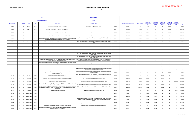# **Highway Safety Improvement Program (HSIP) 2019 FTIP Back-Up List, sorted by MPO, Agency and Unique Project ID**

|                          | MPO:                                                                                                                                                                                                                             |                 |                                                        |             |                                                                                                                                                                                                                                                                                | Statewide (all MPO's)                                                                                                                                                                                                                                             |                                                      |                                         |                         |                                                     |                                                  |                                                  |                                                  |                                                 |                                |  |
|--------------------------|----------------------------------------------------------------------------------------------------------------------------------------------------------------------------------------------------------------------------------|-----------------|--------------------------------------------------------|-------------|--------------------------------------------------------------------------------------------------------------------------------------------------------------------------------------------------------------------------------------------------------------------------------|-------------------------------------------------------------------------------------------------------------------------------------------------------------------------------------------------------------------------------------------------------------------|------------------------------------------------------|-----------------------------------------|-------------------------|-----------------------------------------------------|--------------------------------------------------|--------------------------------------------------|--------------------------------------------------|-------------------------------------------------|--------------------------------|--|
|                          |                                                                                                                                                                                                                                  |                 |                                                        |             | 2023 Backup List Updated On:                                                                                                                                                                                                                                                   | 3/6/2022                                                                                                                                                                                                                                                          |                                                      |                                         |                         |                                                     |                                                  |                                                  |                                                  |                                                 |                                |  |
| <b>Unique Project ID</b> | HR <sub>3</sub><br>Eligibility*                                                                                                                                                                                                  | <b>District</b> | Agency                                                 | <b>MPO</b>  | <b>Project Location</b>                                                                                                                                                                                                                                                        | <b>Description of Work</b>                                                                                                                                                                                                                                        | <b>Current Total Project</b><br><b>Cost Estimate</b> | <b>Current Programmed Fedearl Funds</b> | Other/Local Funds       | <b>Federal Funds</b><br>Programmed under<br>"Prior" | <b>Federal Funds</b><br>Programmed in<br>1022123 | <b>Federal Funds</b><br>Programmed in<br>2023/24 | <b>Federal Funds</b><br>Programmed in<br>2024/25 | <b>Federal Funds</b><br>rogrammed in<br>2025/26 | proved Federa<br>Funds (total) |  |
| H9-07-001                | No                                                                                                                                                                                                                               |                 | Alhamhra                                               | SCAG        | Various signalized intersections throughout the City of Alhambra.                                                                                                                                                                                                              | Install pedestrian countdown signal head systems.                                                                                                                                                                                                                 | \$876,000                                            | \$791.800                               | \$0                     | \$84,200                                            | \$0                                              | \$0                                              | \$791,800                                        | \$0                                             | \$876,000                      |  |
| H9-07-002                | No                                                                                                                                                                                                                               |                 | Bellflower                                             | SCAG        | Bellflower Blvd from Artesia Blvd to south City Limits (350' south of Rose St).                                                                                                                                                                                                | Install Class III bike lane, raised median, bulb-outs, and high visibility crosswalks.                                                                                                                                                                            | \$1,162,100                                          | \$1,045,890                             | \$116,210               | \$0                                                 | \$0                                              | \$0                                              | \$1,045,890                                      | \$0                                             | \$1,045,890                    |  |
| HSIP6-07-004             | No                                                                                                                                                                                                                               |                 | Carson                                                 | SCAG        | Various locations on Figueroa St, Main St, Victoria St, and Carson St in Carson                                                                                                                                                                                                | Install bike lanes                                                                                                                                                                                                                                                | \$1,487,200                                          | \$1,208,890                             | \$134.410               | \$143,900                                           | \$0                                              | \$0                                              | \$1,208,890                                      | \$0                                             | \$1,352,790                    |  |
| HSIP6-07-005             | No                                                                                                                                                                                                                               |                 | Carson                                                 | SCAG        | Various locations on University Dr, Avalon, Central Ave, Del Amo Blvd, and 223rd St in Carson                                                                                                                                                                                  | Install bike lanes                                                                                                                                                                                                                                                | \$1,389,100                                          | \$1,129,040                             | \$125,660               | \$134,400                                           | \$1,129,040                                      | \$0                                              | \$0                                              | \$0                                             | \$1,263,440                    |  |
| H8-07-003                | No                                                                                                                                                                                                                               |                 | Carson                                                 | SCAG        | Six (6) Intersections -Avalon Blvd at Victoria Street, Main Street at Sepulveda Blvd, Main Street at 220th Street, Main Street at<br>223rd Street, Figueroa Street at 223rd Street, and Figueroa Street at Torrance Blvd                                                       | Construct intersection upgrades (new signal heads, ADA ramps, service upgrades, LED safety lighting, bike detection<br>audible pedestrian signals, signal poles, signal mast arms, signal cabinets, raised medians, signing, striping, and left-<br>turn phasing) | \$1,912,100                                          | \$1,522,350                             | \$191.210               | \$198,540                                           | \$1,522,350                                      | \$0                                              | \$0                                              | \$0                                             | \$1,720,890                    |  |
| H8-07-004                | No                                                                                                                                                                                                                               |                 | Commerce                                               | SCAG        | E Gage Avenue south of Slauson Ave and Washington Ave just west of the I-5 freeway.                                                                                                                                                                                            | Construct crosswalks, sidewalks and curb ramps, and install signage, pavement markings and pedestrian countdown<br>heads                                                                                                                                          | \$173,700                                            | \$156.330                               | \$17,370                | \$0                                                 | \$156.330                                        | \$0                                              | \$0                                              | \$0                                             | \$156.330                      |  |
| HSIP7-07-005             | No                                                                                                                                                                                                                               |                 | Compton                                                | SCAG        | Compton Boulevard, from Willowbrook Avenue to eastern City limits.                                                                                                                                                                                                             | Installation of raised medians and Class II bicycle lanes                                                                                                                                                                                                         | \$1,928,400                                          | \$1,691,098                             | \$237,302               | \$0                                                 | \$0                                              | \$0                                              | \$0                                              | \$1,691,098                                     | \$1,691,098                    |  |
| H8-07-005                | No                                                                                                                                                                                                                               |                 | Compton                                                | SCAG        | The Compton Blvd. corridor between Willowbrook Avenue and Central Avenue.                                                                                                                                                                                                      | Install bike lanes and lighting along the corridor, and enhance pedestrian crossings at fifteen (15) intersections.                                                                                                                                               | \$1,298,000                                          | \$1,168,200                             | \$129,800               | \$0                                                 | \$1,168,200                                      | \$0                                              | \$0                                              | \$0                                             | \$1,168,200                    |  |
| H8-07-006                | No                                                                                                                                                                                                                               |                 | Compton                                                | SCAG        | Twenty (20) intersections.                                                                                                                                                                                                                                                     | Install Pedestrian Countdown Heads.                                                                                                                                                                                                                               | \$249,800                                            | \$249,800                               | \$0                     | \$0                                                 | \$249,800                                        | \$0                                              | \$0                                              | \$0                                             | \$249,800                      |  |
| H9-07-004                | No                                                                                                                                                                                                                               |                 | El Segundo                                             | SCAG        | El Segundo Boulevard between Pacific Coast Highway and Isis Avenue.                                                                                                                                                                                                            | Install pedestrian countdown signal heads, enhancing striping with high visibility crosswalks, and construction of ADA<br>compliant curb ramps.                                                                                                                   | \$241,500                                            | \$241,500                               | \$0                     | \$0                                                 | \$241,500                                        | \$0                                              | \$0                                              | \$0                                             | \$241,500                      |  |
| H9-07-005                | No                                                                                                                                                                                                                               |                 | Gardena                                                | SCAG        | Vermont Ave just North of 133rd St.                                                                                                                                                                                                                                            | Install a pedestrian crosswalk with a Pedestrian Hybrid Beacon (PHB) or High-Intensity Activated Crosswalk Beacon<br>(HAWK) Crossing System.                                                                                                                      | \$167,800                                            | \$167,800                               | \$0                     | \$0                                                 | \$167,800                                        | \$0                                              | \$0                                              | \$0                                             | \$167,800                      |  |
| H9-07-008                | No                                                                                                                                                                                                                               |                 | Glendora                                               | <b>SCAG</b> | The vicinity of five (5) public and private elementary schools, including Cullen Elementary, Sellers Elementary, La Fetra<br>Elementary, Hope Lutheran School, and Stanton Elementary.                                                                                         | nstall curb extensions, high-visibility crosswalks, enhanced crosswalk signage and pavement markings, street lighting<br>flashing beacons at stop signs, pedestrian countdown signals, lead ped intervals, and no-passing centerlines.                            | \$523,900                                            | \$250,000                               | \$273,900               | \$0                                                 | \$250,000                                        | \$0                                              | sn.                                              | \$0                                             | \$250,000                      |  |
| H8-07-009                | No                                                                                                                                                                                                                               |                 | Hawaiian Gardens                                       | <b>SCAG</b> | /arious signalized intersections along Carson St. between Western City Limit (Pioneer Blvd) and Eastern City Limit (Bloomfield<br>Ave).                                                                                                                                        | Install traffic signal hardware improvements.                                                                                                                                                                                                                     | \$397,500                                            | \$397.500                               | \$0                     | \$0                                                 | \$0                                              | \$397.500                                        | \$0                                              | \$0                                             | \$397.500                      |  |
| H8-07-010                | No                                                                                                                                                                                                                               |                 | Hawaiian Gardens                                       | SCAG        | Various intersections on Norwalk Blvd between 214th St and 226th St.                                                                                                                                                                                                           | Install traffic signal improvements.                                                                                                                                                                                                                              | \$516,000                                            | \$464,400                               | \$51,600                | S <sub>0</sub>                                      | \$0                                              | \$464,400                                        | \$0                                              | \$0                                             | \$464,400                      |  |
| HSIP7-07-010             | No                                                                                                                                                                                                                               |                 | Hawthorne                                              | SCAG        | 1.3 mile section of 120th Street from Prairie Avenue to Felton Avenue                                                                                                                                                                                                          | Traffic signal upgrades (upgrade signals, controllers and detection) and coordination at eight signalized intersections and<br>improve crossings and signage at spot locations in the corridor                                                                    | \$1,500,800                                          | \$1,305,800                             | \$195,000               | \$0                                                 | \$0                                              | \$0                                              | \$0                                              | \$1,305,800                                     | \$1,305,800                    |  |
| H9-07-009                | No                                                                                                                                                                                                                               |                 | Inglewood                                              | SCAG        | Various uncontrolled crosswalks throughout the City of Inglewood, including Centinela Ave at Market St, Manchester Blvd at<br>Cedar Ave, on Regent St between Grevillea Ave and La Brea Avenue, two midblock crosswalks on Market St between<br>Regent St and Manchester Blvd. | Install high visibility crosswalk enhancements including pedestrian signals, signing and striping, and Rectangular Rapid<br>Flashing Beacons (RRFBs).                                                                                                             | \$250,000                                            | \$250,000                               | \$0                     | \$0                                                 | \$0                                              | \$0                                              | \$250,000                                        | \$0                                             | \$250,000                      |  |
| H8-07-015                | No                                                                                                                                                                                                                               |                 | La Puente                                              | SCAG        | Eight (8) crosswalk locations throughout the City of La Puente.                                                                                                                                                                                                                | Install Rectangular Rapid Flashing Beacons (RRFBs), curb extensions, advanced pavement markings, warning signs,<br>and high visibility crosswalks                                                                                                                 | \$783,600                                            | \$783,600                               | \$0                     | \$0                                                 | \$0                                              | \$783,600                                        | \$0                                              | \$0                                             | \$783,600                      |  |
| H8-07-020                | No                                                                                                                                                                                                                               |                 | Long Beach                                             | SCAG        | Various locations on Anaheim Street between the Los Angeles River and Pacific Coast Highway.                                                                                                                                                                                   | Install controlled-access medians, signal upgrades, and pedestrian refuges.                                                                                                                                                                                       | \$3,326,300                                          | \$2,827,170                             | \$332,630               | \$166,500                                           | \$0                                              | \$2,827,170                                      | \$0                                              | \$0                                             | \$2,993,670                    |  |
| HSIP7-07-015             | No                                                                                                                                                                                                                               |                 | Los Angeles                                            | SCAG        | Crenshaw Boulevard from Florence Avenue to 79th Street                                                                                                                                                                                                                         | Construct raised medians, curb extensions, connecting curb ramps, and modify signals                                                                                                                                                                              | \$2,320,000                                          | \$1,358,780                             | \$543,620               | \$417,600                                           | \$0                                              | \$0                                              | \$0                                              | \$1,358,780                                     | \$1,776,380                    |  |
| H8-07-023                | No                                                                                                                                                                                                                               |                 | Los Angeles                                            | SCAG        | J locations within the City of Los Angeles: 42nd PI/Central Ave, Parthenia St/Willis Ave, SunnyslopeAve/Vanowen St, Olympi<br>Blvd/Serrano Ave. 84th St/84th PI/Figueroa St. and more.                                                                                         | Install new traffic signals at existing partially stop controlled intersections at 10 locations within the City of Los Angeles.                                                                                                                                   | \$5,284,000                                          | \$3,804,480                             | \$528,400               | \$951.120                                           | \$0                                              | \$3,804,480                                      | \$0                                              | \$0                                             | \$4,755,600                    |  |
| H8-07-024                | No                                                                                                                                                                                                                               |                 | Los Angeles                                            | SCAG        | Twenty (20) intersections: Lindley Av/Sherman Wy, Compton Av/Imperial Hwy, Foothill Bl/Osborne St, Lassen St/Sepulveda<br>BI, Florence Av/Van Ness Av, Balboa BI/Parthenia St, Tampa Av/Victory BI, Union Av/Washington BI, and the other twelve<br>(12) intersections.        | Modify traffic signals to install protected phasing operations (19 locations for left-turn and 1 for pedestrian scramble);<br>upgrade signal indication sizes, install APS devices, and install/upgrade curb ramps.                                               | \$9,927,111                                          | \$4,393,900                             | \$4,682,711             | \$850.500                                           | \$0                                              | \$4,393,900                                      | \$0                                              | \$0                                             | \$5,244,400                    |  |
| H9-07-011                | No                                                                                                                                                                                                                               |                 | Los Angeles                                            | SCAG        | Various locations throughout the City of Los Angeles.                                                                                                                                                                                                                          | Upgrade existing obsolete guardrail to modern metal beam guardrail.                                                                                                                                                                                               | \$1,000,000                                          | \$938,000                               | \$0                     | \$62,000                                            | \$0                                              | \$0                                              | \$0                                              | \$938,000                                       | \$1,000,000                    |  |
| H8-07-026                | No                                                                                                                                                                                                                               |                 | Los Angeles County                                     | SCAG        | tersections of Olympic Boulevard at Garfield Avenue and Whittier Boulevard at Eastern Avenue, located in the unincorporated Install various traffic signal improvements, including upgrading standards, mastarms, vehicle head<br>County area of East Los Angeles.             | phasing, bicycle and vehicle detection, ADA access ramps, communication, and other associated equipment.                                                                                                                                                          | \$763,000                                            | \$626,800                               | \$0                     | \$136,200                                           | \$626,800                                        | \$0                                              | \$0                                              | \$0                                             | \$763,000                      |  |
| H8-07-027                | No                                                                                                                                                                                                                               |                 | Los Angeles County                                     | SCAG        | Intersections of Covina Boulevard at Hollenbeck Avenue, Cypress Street at Vincent Avenue, and Workman Mill Road at<br>Lomitas Avenue, located in the unincorporated County area of San Gabriel Valley.                                                                         | Install various traffic signal equipment upgrades, including upgrading standards, mastarms, vehicle heads, bicycle and<br>vehicle detection, access ramps, communication, and other associated equipment.                                                         | \$1,252.100                                          | \$1.028.500                             | \$0                     | \$223.600                                           | \$1.028.500                                      | \$0                                              | \$0                                              | \$0                                             | \$1,252,100                    |  |
| H8-07-028                | No                                                                                                                                                                                                                               |                 | Los Angeles County                                     | SCAG        | ntersections of 120th Street at Normandie Avenue and 120th Street at Compton Avenue, located in the unincorporated County<br>areas of West Athens and Willowbrook.                                                                                                             | Install various traffic signal equipment upgrades, including upgrading standards, mastarms, vehicle heads, bicycle and<br>vehicle delection, protected-permissive left-turn phasing, access ramps, communication, and other associated<br>equipment               | \$957,800                                            | \$786,800                               | \$0                     | \$171,000                                           | \$786,800                                        | \$0                                              | \$0                                              | \$0                                             | \$957,800                      |  |
| H8-07-029                | No                                                                                                                                                                                                                               |                 | Los Angeles County                                     | SCAG        | Intersections of Amar Rd at Baldwin Park Blvd, Badillo St at Irwindale Ave, Santa Anita Ave at Freer St, and Temple Ave at<br>Azusa Ave, in various city/county shared-jurisdiction locations in the San Gabriel Valley area.                                                  | Install various traffic signal equipment upgrades, including upgrading standards, mastarms, vehicle heads, protected lef<br>turn phasing, bicycle and vehicle detection, access ramps, communication, and other associated equipment.                             | \$1,217,200                                          | \$999,900                               | \$0                     | \$217,300                                           | \$999.900                                        | \$0                                              | \$0                                              | \$0                                             | \$1,217,200                    |  |
| H8-07-032                | No                                                                                                                                                                                                                               |                 | Los Angeles County                                     | SCAG        | Bouquet Canyon Road between 640 ft North of M.M. 16.43 and 1145 ft North of M.M 3.52                                                                                                                                                                                           | Install chevron signs, curve advance warning signs, and variable speed warning signs.                                                                                                                                                                             | \$475,100                                            | \$475,100                               | \$0                     | \$0                                                 | \$475,100                                        | \$0                                              | ςn                                               | \$0                                             | \$475.100                      |  |
| H8-07-033                | an Francisquito Canyon Road between 715 ft North of M.M. 0.42 to 530 ft North of M. M. 16.33. Lake Hughes Road betwee<br>No<br>SCAG<br>Elizabeth lake Road and 215 ft East of M.M. 20.58<br>$\overline{7}$<br>Los Angeles County |                 | Install chevron signs and advance curve warning signs. | \$1,086.500 | \$886.500                                                                                                                                                                                                                                                                      | \$0                                                                                                                                                                                                                                                               | \$200.000                                            | \$886.500                               | $\mathsf{S} \mathsf{O}$ | \$n                                                 | \$0                                              | \$1,086.500                                      |                                                  |                                                 |                                |  |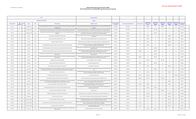## **Highway Safety Improvement Program (HSIP) 2019 FTIP Back-Up List, sorted by MPO, Agency and Unique Project ID**

|                          |                                                                                                                                                                                             |                                                                                                                                    |                      | MPO:                                                                                                                                                                                                                                                                            | Statewide (all MPO's)                                                                                                                                                                                                                              |                                                      |                                         |                          |                                                           |                                                         |                                                 |                                                  |                                        |                                     |
|--------------------------|---------------------------------------------------------------------------------------------------------------------------------------------------------------------------------------------|------------------------------------------------------------------------------------------------------------------------------------|----------------------|---------------------------------------------------------------------------------------------------------------------------------------------------------------------------------------------------------------------------------------------------------------------------------|----------------------------------------------------------------------------------------------------------------------------------------------------------------------------------------------------------------------------------------------------|------------------------------------------------------|-----------------------------------------|--------------------------|-----------------------------------------------------------|---------------------------------------------------------|-------------------------------------------------|--------------------------------------------------|----------------------------------------|-------------------------------------|
|                          |                                                                                                                                                                                             |                                                                                                                                    |                      | 2023 Backup List Updated On:                                                                                                                                                                                                                                                    | 3/6/2022                                                                                                                                                                                                                                           |                                                      |                                         |                          |                                                           |                                                         |                                                 |                                                  |                                        |                                     |
| <b>Unique Project ID</b> | HR3<br><b>Eligibility</b>                                                                                                                                                                   | istric                                                                                                                             | Agency               | <b>MPO</b><br><b>Project Location</b>                                                                                                                                                                                                                                           | <b>Description of Work</b>                                                                                                                                                                                                                         | <b>Lurrent Total Project</b><br><b>Cost Estimate</b> | <b>Current Programmed Fedearl Funds</b> | <b>Other/Local Funds</b> | <b>Federal Funds</b><br><b>Programmed unde</b><br>"Prior" | <b>Federal Funds</b><br><b>Programmed in</b><br>2022/23 | ederal Funds<br><b>Programmed in</b><br>2023/24 | <b>Federal Funds</b><br>Programmed in<br>2024/25 | ederal Fun<br>Programmed ir<br>2025/26 | oved Federa<br><b>Funds (total)</b> |
| H9-07-012                | No                                                                                                                                                                                          | $\overline{7}$                                                                                                                     | Los Angeles County   | ity/County shared-jurisdiction locations in the Afhens, Rancho Dominguez Hills, West Carson, Willowbrook areas (Broadway<br>SCAG<br>at El Segundo Blvd, Broadway at Rosecrans Ave, Normandie Ave at 104th St, Normandie Ave at 228th St, and Rosecrans<br>Ave at Atlantic Ave). | Construct various traffic signal improvements, including upgrading standards, mastarms, protected-permissive left-tun<br>phasing, vehicle heads, bicycle and vehicle delection, ADA access ramps, communication, and other associated<br>equipment | \$2,320,500                                          | \$1,957,900                             | \$0                      | \$362,600                                                 | \$0                                                     | \$1,957,900                                     | \$0                                              | \$0                                    | \$2,320,500                         |
| H9-07-013                | No                                                                                                                                                                                          | 7                                                                                                                                  | Los Angeles County   | arious city/county shared-jurisdiction locations in the Florence and Willowbrook areas, including the intersections of Alameda<br>SCAG<br>St at 92nd St/Southern Ave, Alameda St at Nadeau St, Alameda St at El Segundo Bl, and Alameda St at Firestone Bl.                     | Install various traffic signal improvements, including upgrading standards, mastarms, vehicle heads, protected left-turn<br>phasing, bicycle and vehicle detection, ADA access ramps, communication, and other associated equipment.               | \$1.675.600                                          | \$1,675,600                             | \$0                      | \$0                                                       | \$1.675.600                                             | \$0                                             | \$0                                              | \$0                                    | \$1,675,600                         |
| H9-07-014                | No                                                                                                                                                                                          |                                                                                                                                    | Los Angeles County   | The intersections of Avalon Blvd at 135th St and Avalon Blvd at Rosecrans Ave, in the unincorporated County area of<br>SCAG<br>Willowbrook                                                                                                                                      | Construct various traffic signal improvements, including upgrading standards, mastarms, vehicle heads, bicycle and<br>vehicle detection, ADA access ramps, communication, and other associated equipment.                                          | \$749,500                                            | \$749,500                               | \$0                      | \$0                                                       | \$749,500                                               | \$0                                             | \$0                                              | \$0                                    | \$749,500                           |
| H9-07-015                | No                                                                                                                                                                                          |                                                                                                                                    | Lynwood              | SCAG<br>The intersection of Imperial Highway and Atlantic Avenue                                                                                                                                                                                                                | Add left turn phases and modernize control equipment, detection and lighting, construct curb ramps and pertinent striping<br>improvements.                                                                                                         | \$225,900                                            | \$209,900                               | \$0                      | \$16,000                                                  | \$0                                                     | \$0                                             | \$209,900                                        | \$0                                    | \$225,900                           |
| H9-07-016                | No                                                                                                                                                                                          |                                                                                                                                    | Lynwood              | <b>SCAG</b><br>Intersection of Alameda St at Martin Luther King, Jr. Blvd.                                                                                                                                                                                                      | Add left turn phases, detection and lighting, upgrade ramps and striping improvements.                                                                                                                                                             | \$460,900                                            | \$439,900                               | \$0                      | \$21,000                                                  | \$0                                                     | \$0                                             | \$439,900                                        | \$0                                    | \$460.900                           |
| H9-07-017                | No                                                                                                                                                                                          |                                                                                                                                    | Lynwood              | SCAG<br>Intersection of Atlantic Ave at Carlin Ave.                                                                                                                                                                                                                             | Install left turn phases, cabinet modifications, detection, lighting, upgrade ramps and striping improvements.                                                                                                                                     | \$324,800                                            | \$308,800                               | \$0                      | \$16,000                                                  | \$0                                                     | \$0                                             | \$308,800                                        | \$0                                    | \$324,800                           |
| H9-07-018                | No                                                                                                                                                                                          |                                                                                                                                    | Monterey Park        | SCAG<br>Warious signalized intersections along Garfield Avenue between the northern and southern city limits.                                                                                                                                                                   | Install signal hardware improvements to the lenses, back-plates with retroreflective borders, mounting, size, and<br>number, as well as installation of pedestrian countdown signal heads.                                                         | \$537.200                                            | \$485,600                               | \$0                      | \$51.600                                                  | \$0                                                     | \$0                                             | \$485,600                                        | \$0                                    | \$537.200                           |
| H8-07-034                | No                                                                                                                                                                                          |                                                                                                                                    | Norwalk              | SCAG<br>Pioneer Boulevard between 166th Street (South City Limits) and Lakeland Road (North City Limits).                                                                                                                                                                       | Upgrade signals to provide separate left-turn phasing at eight (8) intersections and provide various safety improvement<br>at adiacent intersections.                                                                                              | \$2,911,000                                          | \$2,911,000                             | \$0                      | \$0                                                       | \$2,911,000                                             | \$0                                             | \$0                                              | \$0                                    | \$2.911.000                         |
| H8-07-035                | No                                                                                                                                                                                          |                                                                                                                                    | Norwalk              | SCAG<br>Pioneer Boulevard between 166th Street (South City Limits) and Lakeland Avenue (North City Limits).                                                                                                                                                                     | Update signal timing and coordinated operations of fifteen (15) signalized intersections, construct a fiber-optic<br>communication network to integrate with the City's Traffic Management Center (TMC).                                           | \$1,281,700                                          | \$640.850                               | \$640,850                | \$0                                                       | \$640,850                                               | \$0                                             | \$0                                              | \$0                                    | \$640,850                           |
| H8-07-036                | No                                                                                                                                                                                          |                                                                                                                                    | Norwalk              | Norwalk Boulevard from 166th Street (South City Limits) to Rosecrans Avenue; and from Adoree Street to Lakeland Road<br>SCAG<br>(North City Limits).                                                                                                                            | Upgrade signals to provide separate left turn phasing at six (6) intersections and provide various safety improvements a<br>adjacent intersections.                                                                                                | \$2,294.500                                          | \$2,294,500                             | \$0                      | \$0                                                       | \$2,294,500                                             | \$0                                             | \$0                                              | \$0                                    | \$2.294.500                         |
| H8-07-037                | No                                                                                                                                                                                          |                                                                                                                                    | Norwalk              | Norwalk Boulevard from 166th Street (South City Limits) to Rosecrans Avenue; and from Adoree Street to Lakeland Road<br>SCAG<br>(North City Limits).                                                                                                                            | Update signal timing and coordinated operations of eleven (11) signalized intersections, construct a fiber-optic<br>communication network to integrate with the City's Traffic Management Center (TMC).                                            | \$1,135,100                                          | \$567,550                               | \$567,550                | \$0                                                       | \$567,550                                               | \$0                                             | \$0                                              | \$0                                    | \$567,550                           |
| H8-07-039                | No                                                                                                                                                                                          |                                                                                                                                    | Palmdale             | <b>SCAG</b><br>Intersection of Avenue S-8 at 40th Street East                                                                                                                                                                                                                   | Convert an existing two-way stop to a roundabout                                                                                                                                                                                                   | \$2,910,603                                          | \$2,347.900                             | \$0                      | \$562.703                                                 | \$0                                                     | \$2,347.900                                     | \$0                                              | \$0                                    | \$2,910.603                         |
| H9-07-019                | No                                                                                                                                                                                          |                                                                                                                                    | Pasadena             | SCAG<br>Various Locations throughout the west side of the City.                                                                                                                                                                                                                 | Repair existing damaged guardrail.                                                                                                                                                                                                                 | \$334,000                                            | \$289,000                               | \$45,000                 | \$0                                                       | \$289,000                                               | \$0                                             | \$0                                              | \$0                                    | \$289,000                           |
| H9-07-020                | No                                                                                                                                                                                          |                                                                                                                                    | Pomona               | SCAG<br>Various signalized intersections throughout the City of Pomona.                                                                                                                                                                                                         | Install pedestrian countdown heads.                                                                                                                                                                                                                | \$250,000                                            | \$244,000                               | \$0                      | \$6,000                                                   | \$0                                                     | \$0                                             | \$244,000                                        | \$0                                    | \$250,000                           |
| H8-07-046                | No                                                                                                                                                                                          |                                                                                                                                    | San Fernando         | Nine (9) intersections along the Metrolink rail corridor (1st St at Hubbard Ave & Maclay Avenue; San Fernando Rd at Brand<br>SCAG<br>Blvd, Hubbard Ave & Maclay Ave; and Truman St at Brand Blvd, Hubbard Ave, Maclay Ave & Wolfskill St).                                      | Install larger signal heads, additional street lighting, and protected left turn phase signals where left turn lanes already                                                                                                                       | \$1,096,000                                          | \$1,096,000                             | \$0                      | \$0                                                       | \$1,096,000                                             | \$0                                             | \$0                                              | \$0                                    | \$1,096,000                         |
| H9-07-022                | No                                                                                                                                                                                          |                                                                                                                                    | South El Monte       | SCAG<br>various signalized intersections throughout the City.                                                                                                                                                                                                                   | Install signal hardware improvements to the lenses, back-plates with retroreflective borders, mounting, size, and<br>number, as well as installation of pedestrian countdown signal heads.                                                         | \$601,300                                            | \$543,700                               | \$0                      | \$57,600                                                  | \$0                                                     | \$0                                             | \$543,700                                        | \$0                                    | \$601,300                           |
| HSIP7-07-033             | No                                                                                                                                                                                          |                                                                                                                                    | South Gate           | SCAG<br>On Garfield Avenue between Southern Avenue and Howery Street                                                                                                                                                                                                            | Construct raised center median                                                                                                                                                                                                                     | \$1,710,700                                          | \$1,296,630                             | \$171.070                | \$243,000                                                 | \$0                                                     | \$0                                             | \$0                                              | \$1,296,630                            | \$1.539.630                         |
| H8-07-050                | No                                                                                                                                                                                          |                                                                                                                                    | South Gate           | <b>SCAG</b><br>Long Beach Boulevard between Santa Ana Street and Tweedy Boulevard.                                                                                                                                                                                              | Construct raised center median, re-stripe roadway corridor, and adjust utilities to grade.                                                                                                                                                         | \$1,650,900                                          | \$1,238,310                             | \$165,090                | \$247,500                                                 | \$0                                                     | \$1,238,310                                     | \$0                                              | \$0                                    | \$1,485,810                         |
| H9-07-023                | No                                                                                                                                                                                          |                                                                                                                                    | South Gate           | Various intersections throughout the City of South Gate (California Avenue and Missouri Avenue, State Street and Illinois<br>SCAG<br>Avenue, Southern Avenue and Madison Avenue, Otis Street and Missouri Avenue                                                                | Install crosswalk improvements including in-roadway warning lights, signing and striping upgrades to meet current<br>standards, and upgrade pedestrian ramps to be ADA compliant.                                                                  | \$249,780                                            | \$249.780                               | \$0                      | \$0                                                       | \$0                                                     | \$0                                             | \$249,780                                        | \$0                                    | \$249.780                           |
| H9-07-024                | No                                                                                                                                                                                          |                                                                                                                                    | <b>Thousand Oaks</b> | SCAG<br>Thousand Oaks Blvd between Conejo School Rd and Skyline Dr.                                                                                                                                                                                                             | Relocate and consolidate two existing crosswalks located on Thousand Oaks Blvd, at Live Oak St and Oakview Dr, to<br>one single mid-block crosswalk between Live Oak St and Oakview Dr.                                                            | \$560,600                                            | \$414,540                               | \$56,060                 | \$90,000                                                  | \$0                                                     | \$0                                             | \$414,540                                        | \$0                                    | \$504.540                           |
| H9-07-028                | No                                                                                                                                                                                          |                                                                                                                                    | Vernon               | SCAG<br>Various signalized intersections (Santa Fe, Slauson, Soto, District, and Bandini Corridors).                                                                                                                                                                            | Upgrade traffic signal housings, backplates, visors, and framework at various intersection; .Install dynamic speed<br>warning signs along five corridors.                                                                                          | \$305,700                                            | \$278.100                               | \$0                      | \$27,600                                                  | \$278,100                                               | \$0                                             | \$0                                              | \$0                                    | \$305.700                           |
| H8-07-055                | No                                                                                                                                                                                          |                                                                                                                                    | Whittier             | SCAG<br>7 various locations of guard rails within the City of Whittier.                                                                                                                                                                                                         | Upgrade guardrails.                                                                                                                                                                                                                                | \$363,000                                            | \$363,000                               | \$0                      | \$0                                                       | \$0                                                     | \$363,000                                       | \$0                                              | \$0                                    | \$363,000                           |
| H9-08-001                | No                                                                                                                                                                                          |                                                                                                                                    | Cathedral City       | <b>SCAG</b><br>Traffic Signal Safety Upgrades at 12 Intersections Throughout the City                                                                                                                                                                                           | Install advanced dilemma zone detection, protected left turn phases, and pedestrian countdown heads.                                                                                                                                               | \$1,302,500                                          | \$1,030,500                             | \$0                      | \$272,000                                                 | \$0                                                     | \$0                                             | \$1,030,500                                      | \$0                                    | \$1,302,500                         |
| H9-08-002                | No                                                                                                                                                                                          |                                                                                                                                    | Cathedral City       | SCAG<br>Date Palm Drive and Varner Road                                                                                                                                                                                                                                         | Construct centerline and edgeline rumble strips, install flashing stop signs, and install guardrail.                                                                                                                                               | \$1,089.700                                          | \$895.200                               | \$0                      | \$194,500                                                 | \$0                                                     | \$0                                             | \$895,200                                        | \$0                                    | \$1,089,700                         |
| H9-08-004                | No                                                                                                                                                                                          | Desert Hot Springs<br><b>SCAG</b><br>Palm Drive from Dillon Road to Pierson Boulevard.                                             |                      |                                                                                                                                                                                                                                                                                 | Upgrade standard pedestrian signal heads to countdown style pedestrian signal heads and pedestrian push buttons to<br>accessible pedestrian signal (APS); construct continental style crosswalks with limit lines.                                 | \$206,300                                            | \$206,300                               | \$0                      | $\sin$                                                    | \$0                                                     | \$0                                             | \$206,300                                        | \$0                                    | \$206,300                           |
| H9-08-005                | No                                                                                                                                                                                          | Desert Hot Springs<br>SCAG<br>Two locations along Palm Drive (just south of Buena Vista Avenue and just south of Hacienda Avenue). |                      |                                                                                                                                                                                                                                                                                 | Install two mid-block pedestrian crossings with enhanced safety features (construct continental crosswalks with advano<br>yield lines, LED flashing pedestrian crossings and improve street lighting).                                             | \$119,400                                            | \$107,460                               | \$11,940                 | \$0                                                       | \$0                                                     | \$0                                             | \$107,460                                        | \$0                                    | \$107,460                           |
| H9-08-006                | No                                                                                                                                                                                          | $\mathbb{R}$                                                                                                                       | Desert Hot Springs   | SCAG<br>The intersection of Palm Drive at 8th Street                                                                                                                                                                                                                            | Construct median refuges and curb bulb outs, upgrade stop signs to LED bordered stop signs, and upgrade existing<br>crosswalks to continental crosswalks.                                                                                          | \$177.300                                            | \$159.570                               | \$17,730                 | \$0                                                       | \$0                                                     | \$0                                             | \$159.570                                        | \$0                                    | \$159.570                           |
| H9-08-007                | Various sections of Barton Road, Mount Vernon Avenue, Vista Grande Way and Vivienda Avenue, in the cities of Grand<br>No<br>8<br><b>Grand Terrace</b><br><b>SCAG</b><br>Terrace and Colton. |                                                                                                                                    |                      | Upgrade existing quardrails to meet the current standards.                                                                                                                                                                                                                      | \$648,300                                                                                                                                                                                                                                          | \$614,700                                            | \$0                                     | \$33,600                 | \$614.700                                                 | \$0                                                     | \$0                                             | \$0                                              | \$648,300                              |                                     |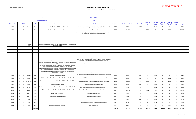## **Highway Safety Improvement Program (HSIP) 2019 FTIP Back-Up List, sorted by MPO, Agency and Unique Project ID**

|                          | MPO:<br>Statewide (all MPO's) |               |                                                                                          |                                                                                                                                                                                                                  |                                                                                                                                                                                                                                           |                                                                                                                                                                                                                                                               |                                             |                                         |                   |                                                     |                                                  |                                                 |                                                      |                                        |                             |  |
|--------------------------|-------------------------------|---------------|------------------------------------------------------------------------------------------|------------------------------------------------------------------------------------------------------------------------------------------------------------------------------------------------------------------|-------------------------------------------------------------------------------------------------------------------------------------------------------------------------------------------------------------------------------------------|---------------------------------------------------------------------------------------------------------------------------------------------------------------------------------------------------------------------------------------------------------------|---------------------------------------------|-----------------------------------------|-------------------|-----------------------------------------------------|--------------------------------------------------|-------------------------------------------------|------------------------------------------------------|----------------------------------------|-----------------------------|--|
|                          |                               |               |                                                                                          |                                                                                                                                                                                                                  | 2023 Backup List Updated On:                                                                                                                                                                                                              | 3/6/2022                                                                                                                                                                                                                                                      |                                             |                                         |                   |                                                     |                                                  |                                                 |                                                      |                                        |                             |  |
| <b>Unique Project ID</b> | <b>Eligibility</b>            | Distric       | Agency                                                                                   | <b>MPO</b>                                                                                                                                                                                                       | <b>Project Location</b>                                                                                                                                                                                                                   | <b>Description of Work</b>                                                                                                                                                                                                                                    | urrent Total Projec<br><b>Cost Estimate</b> | <b>Current Programmed Fedearl Funds</b> | Other/Local Funds | <b>Federal Funds</b><br>Programmed under<br>"Prior" | <b>Federal Funds</b><br>Programmed in<br>2022123 | ederal Funds<br><b>Programmed in</b><br>1023/24 | <b>Federal Funds</b><br>Programmed in<br><b>INCO</b> | ederal Fund<br>rogrammed in<br>2025/26 | oved Feder<br>Funds (total) |  |
| H9-08-008                | No                            | $\mathbf{8}$  | Hesperia                                                                                 | SCAG                                                                                                                                                                                                             | The intersection of Main Street and Timberlane Avenue/Sultana Street.                                                                                                                                                                     | Install a traffic signal; widen roadway to accommodate left turn pockets; install curb, gutter, sidewalk, curb ramps,<br>crosswalks, and lighting; provide pedestrian phasing and countdown timers                                                            | \$1,214,300                                 | \$899,300                               | \$315,000         | \$0                                                 | \$899,300                                        | \$0                                             | \$0                                                  | \$0                                    | \$899,300                   |  |
| H9-08-009                | No                            | 8             | Indio                                                                                    | SCAG                                                                                                                                                                                                             | Fifteen (15) signalized intersections throughout the City of Indio.                                                                                                                                                                       | Install advanced dilemma zone detection.                                                                                                                                                                                                                      | \$1,402,200                                 | \$1,152,000                             | \$0               | \$250,200                                           | \$0                                              | \$0                                             | \$1,152,000                                          | \$0                                    | \$1,402,200                 |  |
| H9-08-010                | No                            | $\mathbf{8}$  | Jurupa Vallev                                                                            | SCAG                                                                                                                                                                                                             | Nineteen (19) locations throughout the City totaling twenty-eight (28) guardrail segments.                                                                                                                                                | Upgrade existing metal beam guardrails to current Caltrans Midwest Guardrail System (MGS) standards, including new<br>end treatments and beam sections, and relocate guardrails to correct locations.                                                         | \$654,200                                   | \$509,200                               | \$145,000         | \$0                                                 | \$0                                              | \$0                                             | \$509,200                                            | \$0                                    | \$509,200                   |  |
| H9-08-011                | No                            |               | Lake Elsinore                                                                            | SCAG                                                                                                                                                                                                             | Ten (10) intersections throughout the Cityof Lake Elsinore.                                                                                                                                                                               | Install advanced dilemma zone detection, protected left turns, and pedestrian countdown heads.                                                                                                                                                                | \$1,348,900                                 | \$1,108,900                             | \$0               | \$240,000                                           | \$0                                              | \$0                                             | \$1,108,900                                          | \$0                                    | \$1,348,900                 |  |
| H9-08-013                | No                            |               | Murrieta                                                                                 | SCAG                                                                                                                                                                                                             | Five uncontrolled mid-block crosswalk locations near four school sites.                                                                                                                                                                   | Install in-pavement LED lighted crosswalks and curb ramps.                                                                                                                                                                                                    | \$291.100                                   | \$247.435                               | \$43,665          | \$0                                                 | \$247.435                                        | \$0                                             | \$0                                                  | \$0                                    | \$247,435                   |  |
| H9-08-014                | No                            |               | Palm Springs                                                                             | SCAG                                                                                                                                                                                                             | Nine (9) signalized intersections throughout the City of Palm Springs.                                                                                                                                                                    | Install advanced dilemma zone detection, protected left turns and pedestrian countdown heads.                                                                                                                                                                 | \$1,702,700                                 | \$1,399,200                             | \$0               | \$303,500                                           | \$0                                              | \$0                                             | \$1,399,200                                          | \$0                                    | \$1,702,700                 |  |
| H9-08-016                | No                            |               | Ramona Band of<br>Cahuilla                                                               | SCAG                                                                                                                                                                                                             | og Lake Road (6S18), also referred to as Hog Lake Truck Trail. A 1.6 mile alignment from near the intersection with Bautista<br>Road to the Ramona Reservation                                                                            | Upgrade existing stop signs and install new traffic signs.                                                                                                                                                                                                    | \$20,000                                    | \$20,000                                | \$0               | \$0                                                 | \$20,000                                         | \$0                                             | \$0                                                  | \$0                                    | \$20,000                    |  |
| H8-08-016                | No                            |               | Redlands                                                                                 | SCAG                                                                                                                                                                                                             | Various locations throughout the city.                                                                                                                                                                                                    | Install emergency vehicle preemption at signalized intersections.                                                                                                                                                                                             | \$1,188,000                                 | \$1.039.500                             | \$0               | \$148,500                                           | \$0                                              | \$1.039.500                                     | \$0                                                  | \$0                                    | \$1,188,000                 |  |
| H8-08-017                | No                            |               | Redlands                                                                                 | SCAG                                                                                                                                                                                                             | Various locations throughout the City.                                                                                                                                                                                                    | Install pedestrian countdown heads at signalized intersections.                                                                                                                                                                                               | \$244,400                                   | \$233,300                               | \$0               | \$11,100                                            | \$233,300                                        | \$0                                             | \$0                                                  | \$0                                    | \$244,400                   |  |
| H9-08-017                | No                            |               | Redlands                                                                                 | SCAG                                                                                                                                                                                                             | Orange Blossom Trail at Alabama Street and Tennessee Street                                                                                                                                                                               | Install pedestrian crossings with enhanced safety features.                                                                                                                                                                                                   | \$250,000                                   | \$207,000                               | \$0               | \$43,000                                            | \$0                                              | \$0                                             | \$207,000                                            | \$0                                    | \$250,000                   |  |
| HSIP7-08-017             | No                            |               | Rialto                                                                                   | <b>SCAG</b>                                                                                                                                                                                                      | On Merrill Ave from East City Limits to West City Limits, and South Riverside Ave from Slover Ave to Aqua Mansa Rd.                                                                                                                       | nstall 1.25 miles of Class III bike Route on Merrill Avenue from Lilac Avenue to Eucalyptus Avenue.Install 3.25 miles o<br>Class II Bike Lanes on Merrill from Ample Avenue to Lilac Avenue, and on Riverside Avenue from Slover Avenue to<br>Agua Mansa Road | \$176,800                                   | \$0                                     | \$18,680          | \$158.120                                           | \$0                                              | \$0                                             | \$0                                                  | \$0                                    | \$158.120                   |  |
| H8-08-019                | No                            | $\mathbf{8}$  | Rialto                                                                                   | SCAG                                                                                                                                                                                                             | In the City of Rialto along West Baseline Road, From Lilac Avenue to Meridian Avenue.                                                                                                                                                     | Construct new 12 foot wide medians along Baseline Avenue from approximately 300 feet west of Willow Avenue to<br>Meridian Avenue as well as installing median fencing on the south side of Eisenhower High School.                                            | \$1,723,800                                 | \$1,233,320                             | \$355,480         | \$135,000                                           | \$0                                              | \$1,233,320                                     | \$0                                                  | \$0                                    | \$1,368,320                 |  |
| H8-08-021                | No                            | 8             | Riverside County                                                                         | SCAG                                                                                                                                                                                                             | Gilman Springs Road between approx. 8,900 ft S/O Alessandro Blvd and approx. 5,100 ft S/O Bridge St, in the Moreno Valley                                                                                                                 | Construct eight (8) ft paved shoulders, centerline/edgeline rumble stripes and other incidental work.                                                                                                                                                         | \$9,818,400                                 | \$6,704.190                             | \$1,901,840       | \$1,212,370                                         | \$0                                              | \$6.704.190                                     | \$0                                                  | \$0                                    | \$7,916,560                 |  |
| H9-08-018                | No                            | $\mathbf{8}$  | Riverside County                                                                         | SCAG                                                                                                                                                                                                             | Various high profile roadway corridors, including Cajalco Rd between Wood Rd and Temescal Canyon Rd, Gavilan Rd<br>between Cajalco Rd and Lake Mathews Rd, and Sage Rd between Cactus Valley Rd and SH-79.                                | Review and upgrade horizontal alignment warning signs per the CA MUTCD mandate.                                                                                                                                                                               | \$250,000                                   | \$20,000                                | \$0               | \$230,000                                           | \$20,000                                         | \$0                                             | \$0                                                  | \$0                                    | \$250,000                   |  |
| H9-08-020                | No                            |               | San Bernardino                                                                           | SCAG                                                                                                                                                                                                             | ourty-nine (49) signalized intersections along Mt. Vernon Avenue from Highland Avenue to Johnston Street, Baseline Street<br>from Del Rosa Avenue to California Street, and Highland Avenue from Medical Center Drive to Victoria Avenue. | Implement advanced dilemma zone detection                                                                                                                                                                                                                     | \$4,341,400                                 | \$4,001,400                             | \$0               | \$340,000                                           | \$4,001,400                                      | \$0                                             | \$0                                                  | \$0                                    | \$4,341,400                 |  |
| H9-08-022                | No                            | 8             | San Bernardino Coun                                                                      | SCAG                                                                                                                                                                                                             | The intersections of Phelan Road with Arrowhead Rd, Sunny Vista Rd, Tumbleweed Rd and Sonora Rd, in the<br>unincorporated community of Phelan                                                                                             | Install left-turn and right-turn lanes with acceleration lanes.                                                                                                                                                                                               | \$1,250,400                                 | \$844,020                               | \$125,040         | \$281,340                                           | \$0                                              | \$0                                             | \$844,020                                            | \$0                                    | \$1.125.360                 |  |
| H9-08-023                | No                            |               | San Jacinto                                                                              | SCAG                                                                                                                                                                                                             | The intersection of San Jacinto Ave and Shaver St.                                                                                                                                                                                        | Install traffic signal with protected left turn phasing, pedestrian push buttons and leading pedestrian intervals; construct<br>ADA ramps; install sidewalk on the E/S of San Jacinto Ave.                                                                    | \$519.200                                   | \$467.280                               | \$51.920          | \$0                                                 | \$467.280                                        | \$0                                             | \$0                                                  | \$0                                    | \$467.280                   |  |
| H9-08-025                | No                            |               | Temecula                                                                                 | SCAG                                                                                                                                                                                                             | Signalized intersections of Margarita Road and Verdes Lane, Ynez Road and Town Center North, Ynez Road and Town<br>Center South, Redhawk Parkway and Paseo Parallon/Overland Trail, and Winchester Road and Enterprise Circle.            | Upgrade existing permissive left-turn phases and signal heads with protected left-turn phases on existing and/or new<br>traffic signal poles and mast arms.                                                                                                   | \$566,900                                   | \$489,510                               | \$77,390          | \$0                                                 | \$0                                              | \$0                                             | \$489,510                                            | \$0                                    | \$489,510                   |  |
| H9-08-026                | No                            | 8             | <b>Twentynine Palms</b>                                                                  | SCAG                                                                                                                                                                                                             | esidential area (high speed rural residential/local area) south of Two Mile Rd, North of Baseline Rd, East of Encelia Ave, and<br>west of Elm Ave                                                                                         | Upgrade intersection pavement markings and installing advance flashing beacons for advance warning.                                                                                                                                                           | \$1,190,000                                 | \$1,040,000                             | \$0               | \$150,000                                           | \$0                                              | \$0                                             | \$1,040,000                                          | \$0                                    | \$1,190,000                 |  |
| H9-08-027                | No                            | $\mathcal{R}$ | Victorville                                                                              | SCAG                                                                                                                                                                                                             | The intersection of Mojave Dr and Condor Rd.                                                                                                                                                                                              | Upgrade from 2-way STOP control to actuated traffic signal.                                                                                                                                                                                                   | \$527.000                                   | \$478,500                               | \$48,500          | \$0                                                 | \$478,500                                        | \$0                                             | \$0                                                  | \$0                                    | \$478,500                   |  |
| H9-08-028                | No                            |               | Victorville                                                                              | SCAG                                                                                                                                                                                                             | Various locations along major roadways, including National Trails Highway, Amargosa Rd, Hesperia Rd, Outer Bear Valley<br>Rd, Petaluma Rd, and Amethyst Rd.                                                                               | Upgrade existing guardrails and terminal system end treatments to meet current standards.                                                                                                                                                                     | \$469,890                                   | \$469,890                               | sn                | \$0                                                 | \$469,890                                        | \$0                                             | \$0                                                  | \$0                                    | \$469,890                   |  |
| H9-12-001                | No                            | 12            | Anaheim                                                                                  | SCAG                                                                                                                                                                                                             | Seven (7) signalized intersection locations, including Brookhurst/La Palma, Euclid/Crescent, Harbor/Lincoln, Ball/State<br>College, Ball/Brookhurst, Magnolia/Lincoln, Magnolia/Broadway, and Ball/Knott                                  | Provide Advanced Dilemma Zone Delection for high speed approaches and signal hardware updates at seven<br>locations, and protected left turn phase at four intersections                                                                                      | \$2,372,100                                 | \$2,102,100                             | \$0               | \$270,000                                           | \$2,102,100                                      | \$0                                             | \$0                                                  | \$0                                    | \$2,372,100                 |  |
| H8-12-004                | No                            | 12            | Fullerton                                                                                | <b>SCAG</b>                                                                                                                                                                                                      | Seventeen (17) unsignalized intersections.                                                                                                                                                                                                | Install pedestrian warning flashing beacons.                                                                                                                                                                                                                  | \$286,200                                   | \$286,200                               | \$0               | \$0                                                 | \$286,200                                        | \$0                                             | \$0                                                  | \$0                                    | \$286,200                   |  |
| H8-12-005                | No                            | 12            | Fullerton                                                                                | SCAG                                                                                                                                                                                                             | Eighty-four (84) signalized intersections throughout the city.                                                                                                                                                                            | Install 589 pedestrian countdown signal heads.                                                                                                                                                                                                                | \$136,600                                   | \$136,600                               |                   | \$0                                                 | \$136,600                                        | \$0                                             | \$0                                                  | \$0                                    | \$136,600                   |  |
| H9-12-007                | No                            | 12            | La Habra                                                                                 | Six (6) intersections, including La Habra Blvd & Monte Vista St, La Habra Blvd & Cypress St, Harbor Blvd & Sterns Ave,<br>SCAG<br>Lambert Rd & Idaho St. Idaho St & Las Lomas Ave. and La Habra Blvd & Euclid St |                                                                                                                                                                                                                                           | Add left-turn storage and left-turn protected signal phasing at one intersection; add left-turn protected signal phasing at<br>four intersections; and upgrade existing signals at all six intersections.                                                     | \$784,600                                   | \$625,140                               | \$78,460          | \$81,000                                            | \$625,140                                        | \$0                                             | \$0                                                  | \$0                                    | \$706,140                   |  |
| H9-12-008                | No                            | 12            | SCAG<br>La Habra<br>& Idaho, La Habra & Euclid, La Habra & Harbor, and Lambert & Harbor. |                                                                                                                                                                                                                  | ght (8) intersections, including La Habra & Monte Vista, La Habra & Cypress, Harbor & Sterns, Lambert & Idaho, Las Lomas                                                                                                                  | Upgrade existing pedestrian signal heads with new pedestrian countdown signal heads.                                                                                                                                                                          | \$115,400                                   | \$105,400                               | \$0               | \$10,000                                            | \$105.400                                        | \$0                                             | \$0                                                  | \$0                                    | \$115,400                   |  |
| H9-12-009                | No<br>12<br>SCAG<br>Orange    |               | The intersection of Glassell Street and Palmyra Avenue.                                  | Install a two phase traffic signal.                                                                                                                                                                              | \$369,100                                                                                                                                                                                                                                 | \$318,100                                                                                                                                                                                                                                                     | \$0                                         | \$51,000                                | \$0               | \$0                                                 | \$318,100                                        | \$0                                             | \$369,100                                            |                                        |                             |  |
|                          |                               |               |                                                                                          | Total(SCAG)                                                                                                                                                                                                      |                                                                                                                                                                                                                                           |                                                                                                                                                                                                                                                               | \$103,172,984                               | \$80,703,203                            | \$12,396,088      | \$10,073,693                                        | \$30,897,965                                     | \$27,555,170                                    | \$15,659,760                                         | \$6,590,308                            | \$90,776,896                |  |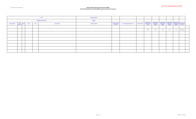| <b>Caltrans Division of Local Assistance</b> |  |
|----------------------------------------------|--|
|                                              |  |

|                                                                                                             | MPO:                         |  |  |  |  | Statewide (all MPO's)      |                                                      |                                         |                                                                       |                                                  |                                                  |                      |               |                                                                       |
|-------------------------------------------------------------------------------------------------------------|------------------------------|--|--|--|--|----------------------------|------------------------------------------------------|-----------------------------------------|-----------------------------------------------------------------------|--------------------------------------------------|--------------------------------------------------|----------------------|---------------|-----------------------------------------------------------------------|
|                                                                                                             | 2023 Backup List Updated On: |  |  |  |  | 3/6/2022                   |                                                      |                                         |                                                                       |                                                  |                                                  |                      |               |                                                                       |
| HR3<br>Eligibility* District<br><b>Project Location</b><br><b>Unique Project ID</b><br><b>MPO</b><br>Agency |                              |  |  |  |  | <b>Description of Work</b> | <b>Current Total Project</b><br><b>Cost Estimate</b> | <b>Current Programmed Fedearl Funds</b> | <b>Federal Funds</b><br>Other/Local Funds Programmed under<br>"Prior" | <b>Federal Funds</b><br>Programmed in<br>2022/23 | <b>Federal Funds</b><br>Programmed in<br>2023/24 | <b>Federal Funds</b> | Federal Funds | Programmed in Programmed in Programmed in Programmed in Funds (total) |
|                                                                                                             |                              |  |  |  |  |                            |                                                      |                                         |                                                                       |                                                  |                                                  |                      |               |                                                                       |
|                                                                                                             |                              |  |  |  |  |                            |                                                      |                                         | 10665                                                                 | 3,544                                            | 3,161                                            | 1,797                | 756           | \$80,703,203                                                          |
|                                                                                                             |                              |  |  |  |  |                            |                                                      |                                         |                                                                       |                                                  |                                                  |                      |               |                                                                       |
|                                                                                                             |                              |  |  |  |  |                            |                                                      |                                         |                                                                       |                                                  |                                                  |                      |               |                                                                       |
|                                                                                                             |                              |  |  |  |  |                            |                                                      |                                         |                                                                       |                                                  |                                                  |                      |               |                                                                       |
|                                                                                                             |                              |  |  |  |  |                            |                                                      |                                         |                                                                       |                                                  |                                                  |                      |               |                                                                       |
|                                                                                                             |                              |  |  |  |  |                            |                                                      |                                         |                                                                       |                                                  |                                                  |                      |               |                                                                       |
|                                                                                                             |                              |  |  |  |  |                            |                                                      |                                         |                                                                       |                                                  |                                                  |                      |               |                                                                       |
|                                                                                                             |                              |  |  |  |  |                            |                                                      |                                         |                                                                       |                                                  |                                                  |                      |               |                                                                       |